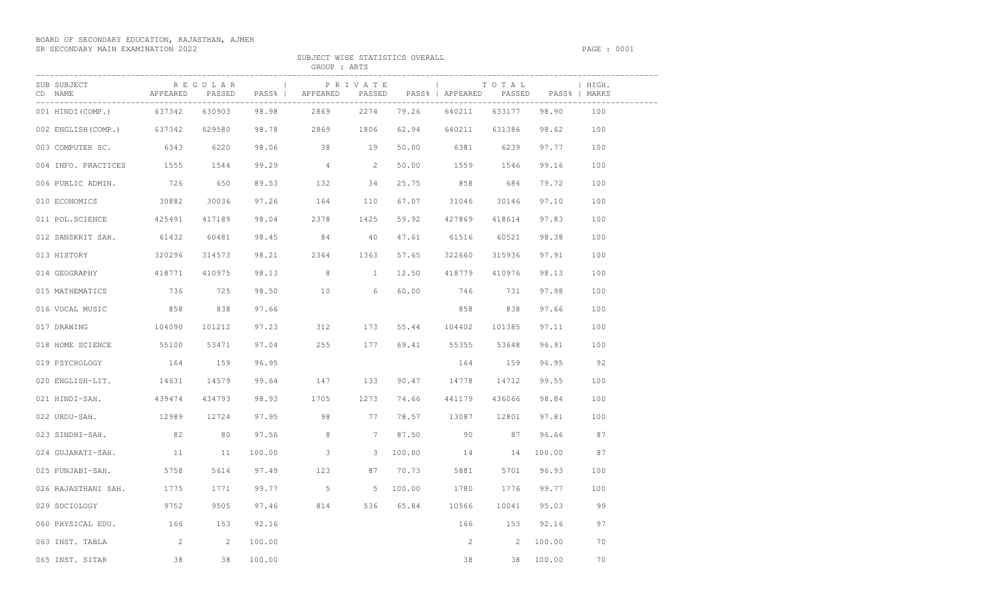## BOARD OF SECONDARY EDUCATION, RAJASTHAN, AJMER SR SECONDARY MAIN EXAMINATION 2022 PAGE : 0001

SUBJECT WISE STATISTICS OVERALL

|                                  |                 |         |        | GROUP : ARTS                                                  |                 |                                   |                     |        |                        |         |  |
|----------------------------------|-----------------|---------|--------|---------------------------------------------------------------|-----------------|-----------------------------------|---------------------|--------|------------------------|---------|--|
| SUB SUBJECT<br>CD NAME           | APPEARED PASSED | REGULAR |        | PASS%   APPEARED PASSED PASS%   APPEARED PASSED PASS%   MARKS | PRIVATE         |                                   |                     | TOTAL  |                        | I HIGH. |  |
| 001 HINDI(COMP.)                 | 637342          | 630903  | 98.98  | 2869                                                          | 2274            | ------------------------<br>79.26 | 640211              | 633177 | -------------<br>98.90 | 100     |  |
| 002 ENGLISH(COMP.) 637342 629580 |                 |         |        | 98.78 2869 1806                                               |                 |                                   | 62.94 640211 631386 |        | 98.62 100              |         |  |
| 003 COMPUTER SC. 6343            |                 | 6220    |        | 98.06 38 19                                                   |                 |                                   | 50.00 6381 6239     |        | 97.77                  | 100     |  |
| 004 INFO. PRACTICES 1555 1544    |                 |         |        | $99.29$ 4                                                     | $\overline{2}$  |                                   | 50.00 1559 1546     |        | 99.16                  | 100     |  |
| 006 PUBLIC ADMIN. 726            |                 | 650     |        | 89.53 132                                                     | 34              |                                   | 25.75 858 684       |        | 79.72                  | 100     |  |
| 010 ECONOMICS                    | 30882           | 30036   | 97.26  | 164 110                                                       |                 |                                   | 67.07 31046         | 30146  | 97.10                  | 100     |  |
| 011 POL.SCIENCE                  | 425491          | 417189  | 98.04  | 2378                                                          | 1425            | 59.92                             | 427869              | 418614 | 97.83                  | 100     |  |
| 012 SANSKRIT SAH. 61432          |                 | 60481   |        | 98.45 84                                                      | 40              | 47.61                             | 61516               | 60521  | 98.38                  | 100     |  |
| 013 HISTORY                      | 320296          | 314573  | 98.21  | 2364 1363                                                     |                 | 57.65                             | 322660              | 315936 | 97.91                  | 100     |  |
| 014 GEOGRAPHY                    | 418771          | 410975  |        | 98.13 8                                                       | $\sim$ $\sim$ 1 | 12.50                             | 418779              | 410976 | 98.13                  | 100     |  |
| 015 MATHEMATICS                  | 736             | 725     | 98.50  | 10                                                            | $6\overline{6}$ | 60.00                             | 746                 | 731    | 97.98                  | 100     |  |
| 016 VOCAL MUSIC                  | 858             | 838     | 97.66  |                                                               |                 |                                   | 858 8               | 838    | 97.66                  | 100     |  |
| 017 DRAWING                      | 104090          | 101212  | 97.23  | 312                                                           | 173             | 55.44                             | 104402              | 101385 | 97.11                  | 100     |  |
| 018 HOME SCIENCE                 | 55100           | 53471   | 97.04  | 255                                                           | 177             |                                   | 69.41 55355         | 53648  | 96.91                  | 100     |  |
| 019 PSYCHOLOGY                   | 164             | 159     | 96.95  |                                                               |                 |                                   | 164                 | 159    | 96.95                  | 92      |  |
| 020 ENGLISH-LIT. 14631           |                 | 14579   | 99.64  | 147 133                                                       |                 | 90.47                             | 14778               | 14712  | 99.55                  | 100     |  |
| 021 HINDI-SAH.                   | 439474          | 434793  | 98.93  | 1705                                                          | 1273            | 74.66                             | 441179              | 436066 | 98.84                  | 100     |  |
| 022 URDU-SAH.                    | 12989           | 12724   |        | 97.95 98                                                      | 77              |                                   | 78.57 13087         | 12801  | 97.81                  | 100     |  |
| 023 SINDHI-SAH.                  | 82              | 80      | 97.56  | 8                                                             | $7^{\circ}$     | 87.50                             | 90                  | 87     | 96.66                  | 87      |  |
| 024 GUJARATI-SAH. 11             |                 | 11      | 100.00 | $\mathcal{S}$                                                 | 3               | 100.00                            | 14 14               |        | 100.00                 | 87      |  |
| 025 PUNJABI-SAH.                 | 5758            | 5614    | 97.49  | 123                                                           | 87              | 70.73                             | 5881                | 5701   | 96.93                  | 100     |  |
| 026 RAJASTHANI SAH.              | 1775            | 1771    |        | 99.77 5                                                       |                 | 5 100.00                          | 1780                | 1776   | 99.77                  | 100     |  |
| 029 SOCIOLOGY                    | 9752            | 9505    | 97.46  | 814                                                           |                 |                                   | 536 65.84 10566     | 10041  | 95.03                  | 99      |  |

060 PHYSICAL EDU. 166 153 92.16 168 169 166 153 92.16 97 063 INST. TABLA 2 2 100.00 2 2 100.00 2 2 100.00 70 065 INST. SITAR 38 38 38 100.00 38 38 38 38 300.00 70